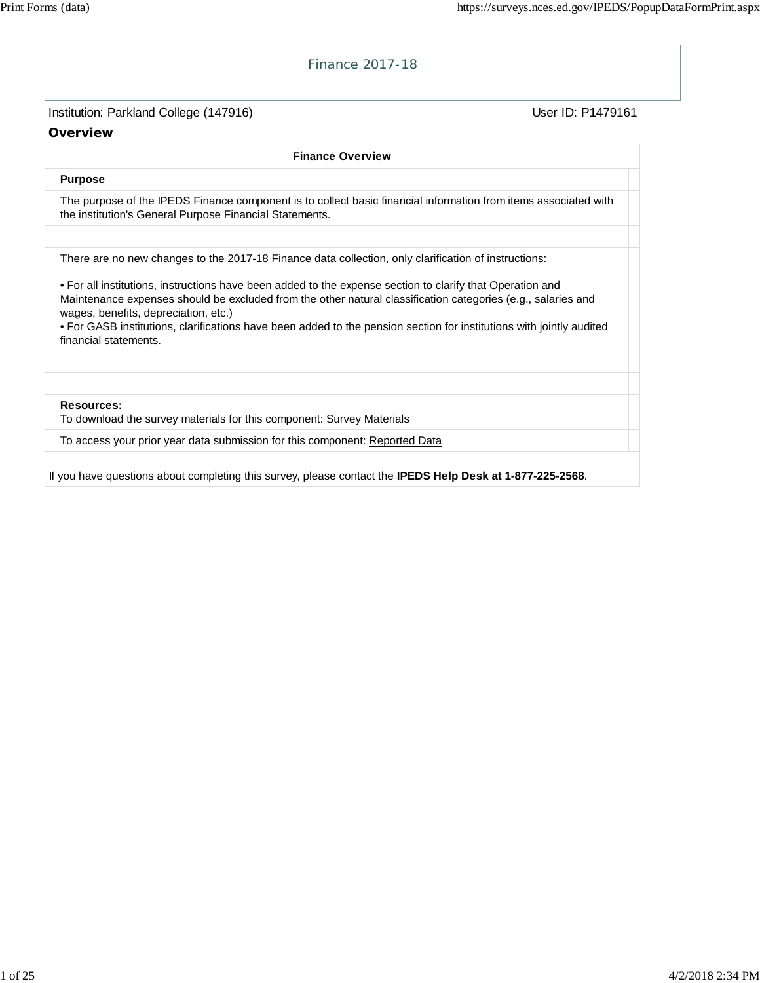| Institution: Parkland College (147916)                                                                                                                                                                                                                            | User ID: P1479161 |
|-------------------------------------------------------------------------------------------------------------------------------------------------------------------------------------------------------------------------------------------------------------------|-------------------|
| Overview                                                                                                                                                                                                                                                          |                   |
| <b>Finance Overview</b>                                                                                                                                                                                                                                           |                   |
| <b>Purpose</b>                                                                                                                                                                                                                                                    |                   |
| The purpose of the IPEDS Finance component is to collect basic financial information from items associated with<br>the institution's General Purpose Financial Statements.                                                                                        |                   |
| There are no new changes to the 2017-18 Finance data collection, only clarification of instructions:                                                                                                                                                              |                   |
| • For all institutions, instructions have been added to the expense section to clarify that Operation and<br>Maintenance expenses should be excluded from the other natural classification categories (e.g., salaries and<br>wages, benefits, depreciation, etc.) |                   |
| . For GASB institutions, clarifications have been added to the pension section for institutions with jointly audited<br>financial statements.                                                                                                                     |                   |
| Resources:<br>To download the survey materials for this component: Survey Materials                                                                                                                                                                               |                   |
| To access your prior year data submission for this component: Reported Data                                                                                                                                                                                       |                   |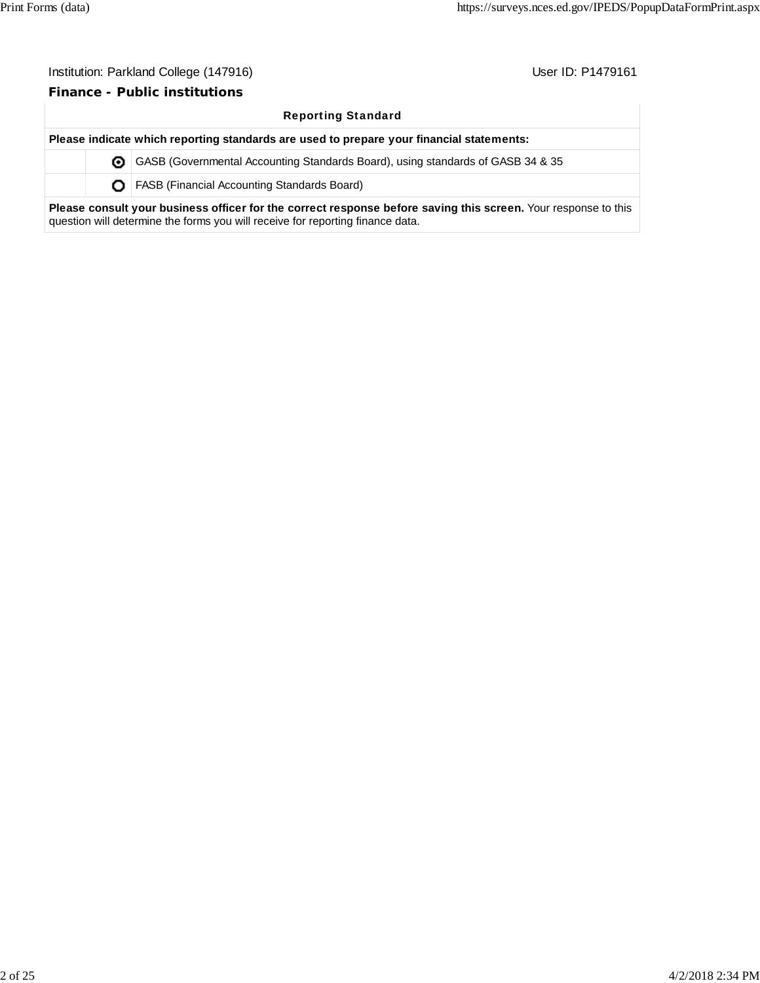#### **Finance - Public institutions**

#### Reporting Standard

**Please indicate which reporting standards are used to prepare your financial statements:** GASB (Governmental Accounting Standards Board), using standards of GASB 34 & 35 **O** | FASB (Financial Accounting Standards Board)

**Please consult your business officer for the correct response before saving this screen.** Your response to this question will determine the forms you will receive for reporting finance data.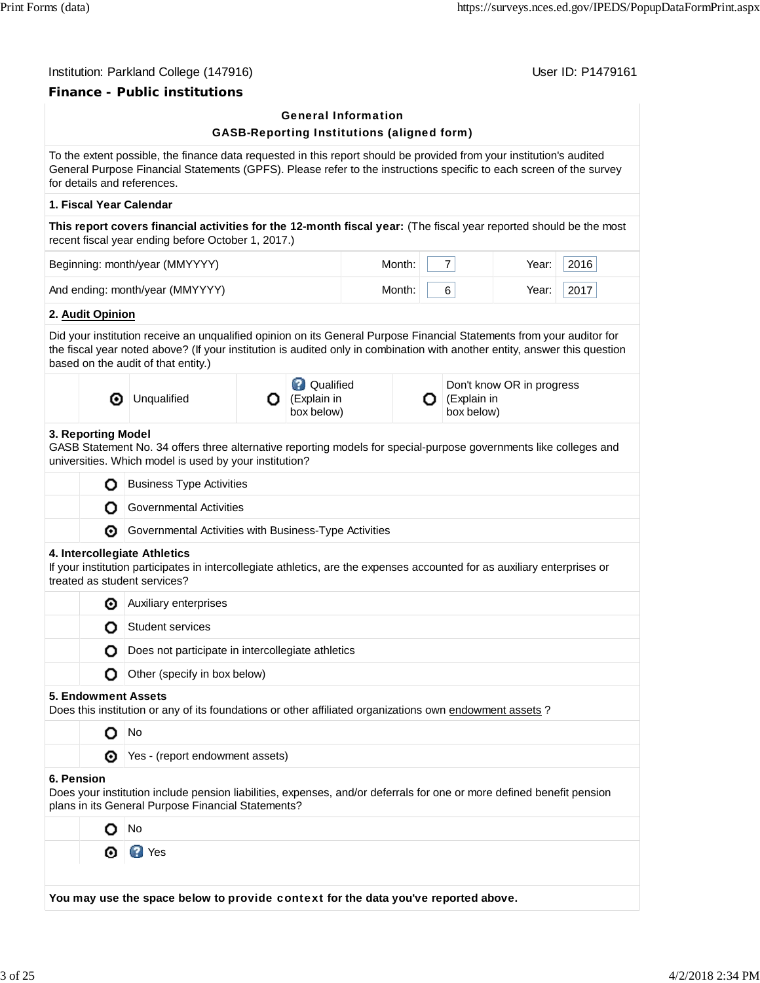### Institution: Parkland College (147916) **Institution: Parkland College (147916)**

# **Finance - Public institutions**

|            |                     | ance - Fublic Institu                                                                                                                                                                                                                                                                      |   | <b>General Information</b>                        |        |                                |                           |      |
|------------|---------------------|--------------------------------------------------------------------------------------------------------------------------------------------------------------------------------------------------------------------------------------------------------------------------------------------|---|---------------------------------------------------|--------|--------------------------------|---------------------------|------|
|            |                     |                                                                                                                                                                                                                                                                                            |   | <b>GASB-Reporting Institutions (aligned form)</b> |        |                                |                           |      |
|            |                     | To the extent possible, the finance data requested in this report should be provided from your institution's audited<br>General Purpose Financial Statements (GPFS). Please refer to the instructions specific to each screen of the survey<br>for details and references.                 |   |                                                   |        |                                |                           |      |
|            |                     | 1. Fiscal Year Calendar                                                                                                                                                                                                                                                                    |   |                                                   |        |                                |                           |      |
|            |                     | This report covers financial activities for the 12-month fiscal year: (The fiscal year reported should be the most<br>recent fiscal year ending before October 1, 2017.)                                                                                                                   |   |                                                   |        |                                |                           |      |
|            |                     | Beginning: month/year (MMYYYY)                                                                                                                                                                                                                                                             |   |                                                   | Month: | $\overline{7}$                 | Year:                     | 2016 |
|            |                     | And ending: month/year (MMYYYY)                                                                                                                                                                                                                                                            |   |                                                   | Month: | 6                              | Year:                     | 2017 |
|            | 2. Audit Opinion    |                                                                                                                                                                                                                                                                                            |   |                                                   |        |                                |                           |      |
|            |                     | Did your institution receive an unqualified opinion on its General Purpose Financial Statements from your auditor for<br>the fiscal year noted above? (If your institution is audited only in combination with another entity, answer this question<br>based on the audit of that entity.) |   |                                                   |        |                                |                           |      |
|            | ◉                   | Unqualified                                                                                                                                                                                                                                                                                | О | <b>Q</b> Qualified<br>(Explain in<br>box below)   |        | (Explain in<br>О<br>box below) | Don't know OR in progress |      |
|            | 3. Reporting Model  | GASB Statement No. 34 offers three alternative reporting models for special-purpose governments like colleges and<br>universities. Which model is used by your institution?                                                                                                                |   |                                                   |        |                                |                           |      |
|            | О                   | <b>Business Type Activities</b>                                                                                                                                                                                                                                                            |   |                                                   |        |                                |                           |      |
|            | О                   | <b>Governmental Activities</b>                                                                                                                                                                                                                                                             |   |                                                   |        |                                |                           |      |
|            | ◉                   | Governmental Activities with Business-Type Activities                                                                                                                                                                                                                                      |   |                                                   |        |                                |                           |      |
|            |                     | 4. Intercollegiate Athletics<br>If your institution participates in intercollegiate athletics, are the expenses accounted for as auxiliary enterprises or<br>treated as student services?                                                                                                  |   |                                                   |        |                                |                           |      |
|            | ◉                   | Auxiliary enterprises                                                                                                                                                                                                                                                                      |   |                                                   |        |                                |                           |      |
|            | О                   | <b>Student services</b>                                                                                                                                                                                                                                                                    |   |                                                   |        |                                |                           |      |
|            |                     | Does not participate in intercollegiate athletics                                                                                                                                                                                                                                          |   |                                                   |        |                                |                           |      |
|            | О                   | Other (specify in box below)                                                                                                                                                                                                                                                               |   |                                                   |        |                                |                           |      |
|            | 5. Endowment Assets | Does this institution or any of its foundations or other affiliated organizations own endowment assets?                                                                                                                                                                                    |   |                                                   |        |                                |                           |      |
|            | о                   | No                                                                                                                                                                                                                                                                                         |   |                                                   |        |                                |                           |      |
|            | ⊙                   | Yes - (report endowment assets)                                                                                                                                                                                                                                                            |   |                                                   |        |                                |                           |      |
| 6. Pension |                     | Does your institution include pension liabilities, expenses, and/or deferrals for one or more defined benefit pension<br>plans in its General Purpose Financial Statements?                                                                                                                |   |                                                   |        |                                |                           |      |
|            | O                   | No                                                                                                                                                                                                                                                                                         |   |                                                   |        |                                |                           |      |
|            | ◉                   | <b>D</b> Yes                                                                                                                                                                                                                                                                               |   |                                                   |        |                                |                           |      |
|            |                     |                                                                                                                                                                                                                                                                                            |   |                                                   |        |                                |                           |      |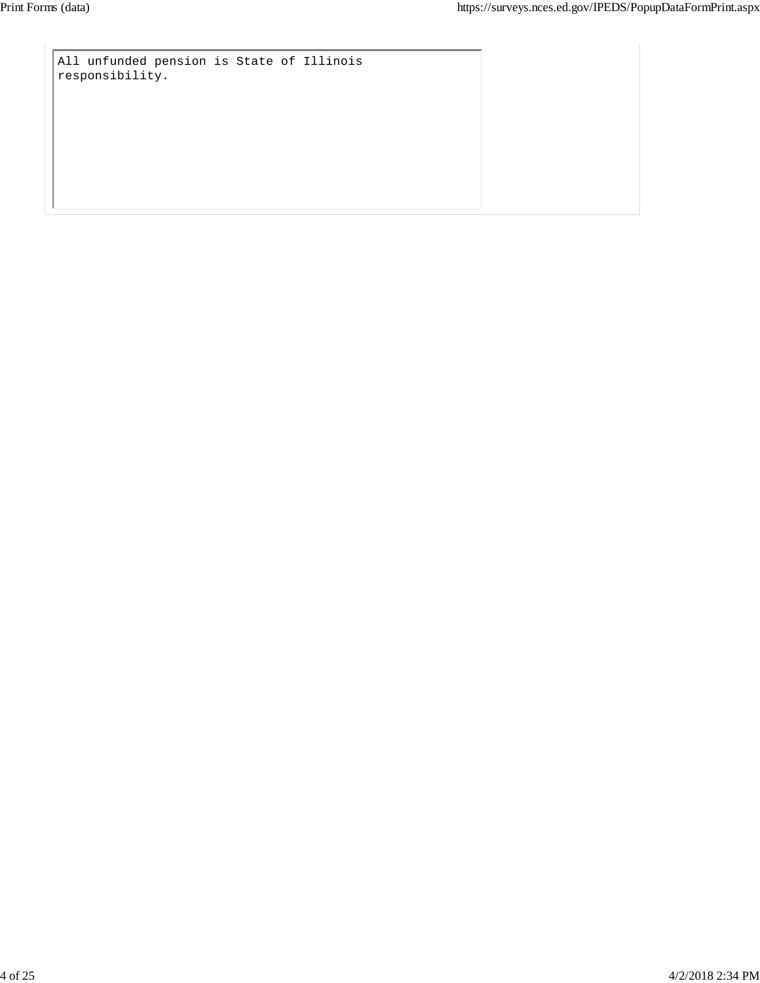All unfunded pension is State of Illinois responsibility.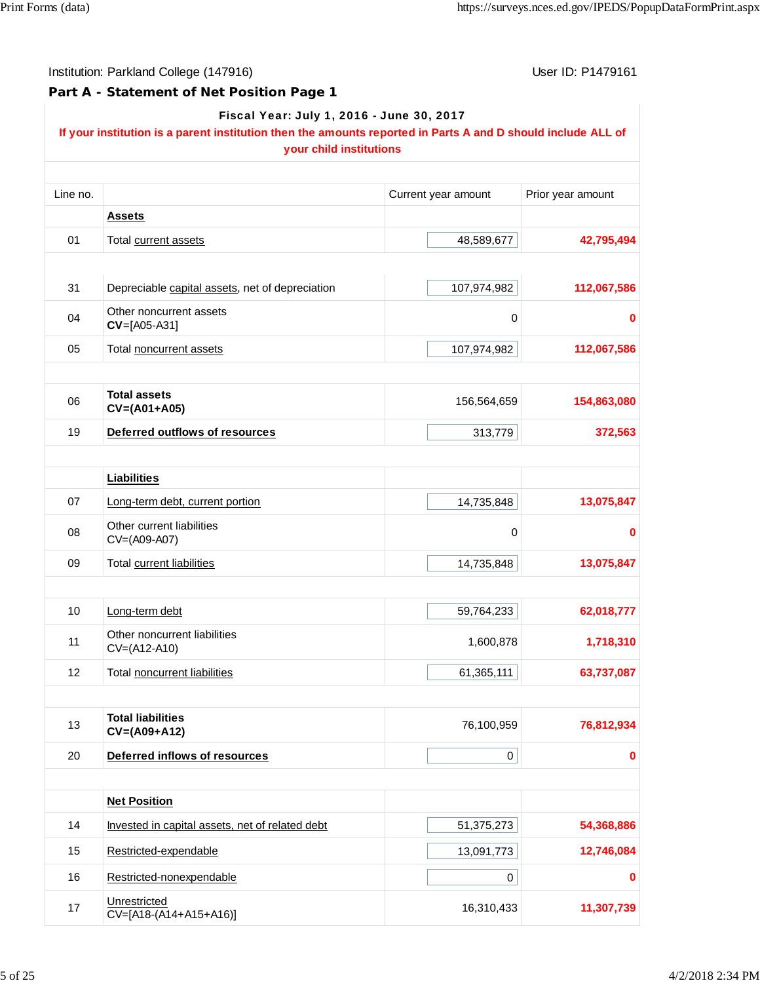**Part A - Statement of Net Position Page 1**

|          | If your institution is a parent institution then the amounts reported in Parts A and D should include ALL of<br>your child institutions |                     |                   |
|----------|-----------------------------------------------------------------------------------------------------------------------------------------|---------------------|-------------------|
| Line no. |                                                                                                                                         | Current year amount | Prior year amount |
|          | <b>Assets</b>                                                                                                                           |                     |                   |
| 01       | Total current assets                                                                                                                    | 48,589,677          | 42,795,494        |
| 31       | Depreciable capital assets, net of depreciation                                                                                         | 107,974,982         | 112,067,586       |
| 04       | Other noncurrent assets<br>$CV=[A05-A31]$                                                                                               | 0                   |                   |
| 05       | Total noncurrent assets                                                                                                                 | 107,974,982         | 112,067,586       |
|          |                                                                                                                                         |                     |                   |
| 06       | <b>Total assets</b><br>$CV=(A01+A05)$                                                                                                   | 156,564,659         | 154,863,080       |
| 19       | Deferred outflows of resources                                                                                                          | 313,779             | 372,563           |
|          | <b>Liabilities</b>                                                                                                                      |                     |                   |
| 07       | Long-term debt, current portion                                                                                                         | 14,735,848          | 13,075,847        |
| 08       | Other current liabilities<br>CV=(A09-A07)                                                                                               | 0                   |                   |
| 09       | Total current liabilities                                                                                                               | 14,735,848          | 13,075,847        |
| 10       | Long-term debt                                                                                                                          | 59,764,233          | 62,018,777        |
| 11       | Other noncurrent liabilities<br>CV=(A12-A10)                                                                                            | 1,600,878           | 1,718,310         |
| 12       | Total noncurrent liabilities                                                                                                            | 61,365,111          | 63,737,087        |
|          |                                                                                                                                         |                     |                   |
| 13       | <b>Total liabilities</b><br>CV=(A09+A12)                                                                                                | 76,100,959          | 76,812,934        |
| 20       | Deferred inflows of resources                                                                                                           | $\pmb{0}$           |                   |
|          | <b>Net Position</b>                                                                                                                     |                     |                   |
| 14       | Invested in capital assets, net of related debt                                                                                         | 51,375,273          | 54,368,886        |
| 15       | Restricted-expendable                                                                                                                   | 13,091,773          | 12,746,084        |
| 16       | Restricted-nonexpendable                                                                                                                | 0                   |                   |
| 17       | Unrestricted<br>CV=[A18-(A14+A15+A16)]                                                                                                  | 16,310,433          | 11,307,739        |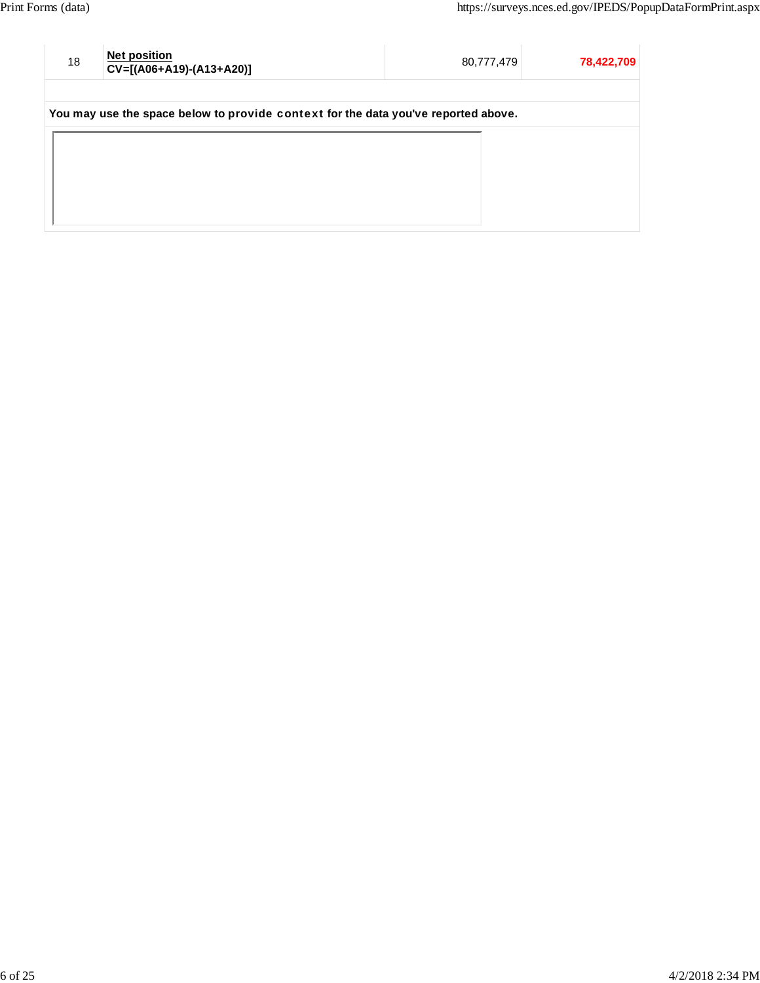| 18 | <b>Net position</b><br>CV=[(A06+A19)-(A13+A20)]                                    | 80,777,479 | 78,422,709 |
|----|------------------------------------------------------------------------------------|------------|------------|
|    | You may use the space below to provide context for the data you've reported above. |            |            |
|    |                                                                                    |            |            |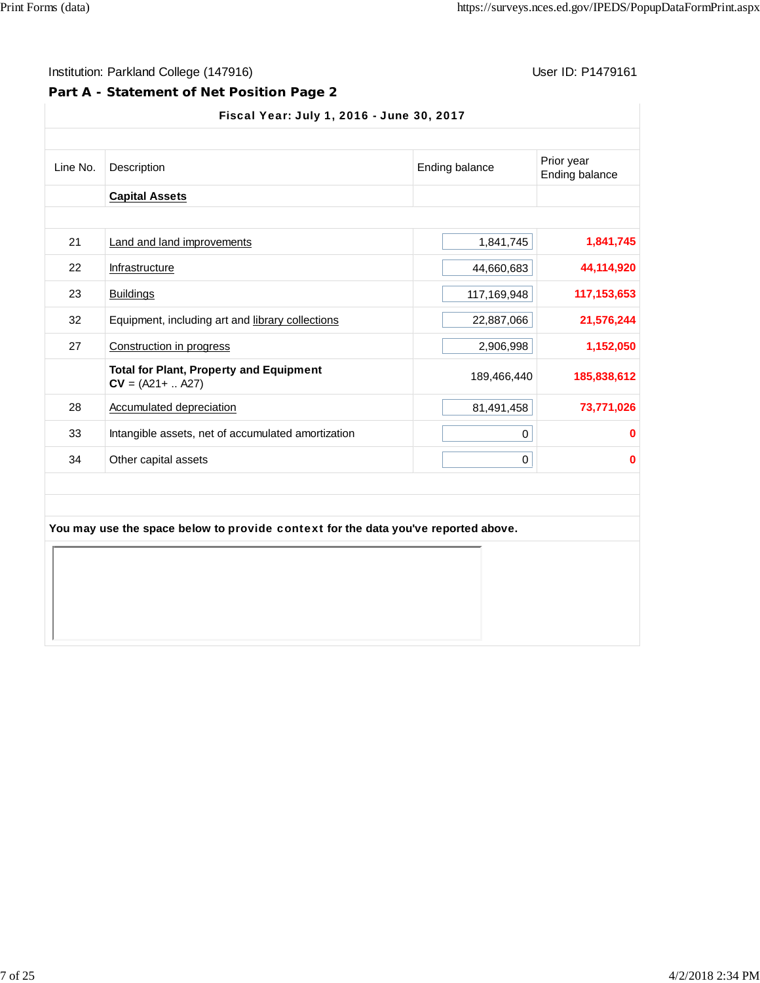## **Part A - Statement of Net Position Page 2**

#### Fiscal Year: July 1, 2016 - June 30, 2017

| Line No. | Description                                                                        | Ending balance | Prior year<br>Ending balance |
|----------|------------------------------------------------------------------------------------|----------------|------------------------------|
|          | <b>Capital Assets</b>                                                              |                |                              |
| 21       | Land and land improvements                                                         | 1,841,745      | 1,841,745                    |
| 22       | Infrastructure                                                                     | 44,660,683     | 44,114,920                   |
| 23       | <b>Buildings</b>                                                                   | 117,169,948    | 117, 153, 653                |
| 32       | Equipment, including art and library collections                                   | 22,887,066     | 21,576,244                   |
| 27       | Construction in progress                                                           | 2,906,998      | 1,152,050                    |
|          | <b>Total for Plant, Property and Equipment</b><br>$CV = (A21 +  A27)$              | 189,466,440    | 185,838,612                  |
| 28       | Accumulated depreciation                                                           | 81,491,458     | 73,771,026                   |
| 33       | Intangible assets, net of accumulated amortization                                 | 0              | 0                            |
| 34       | Other capital assets                                                               | 0              | $\bf{0}$                     |
|          | You may use the space below to provide context for the data you've reported above. |                |                              |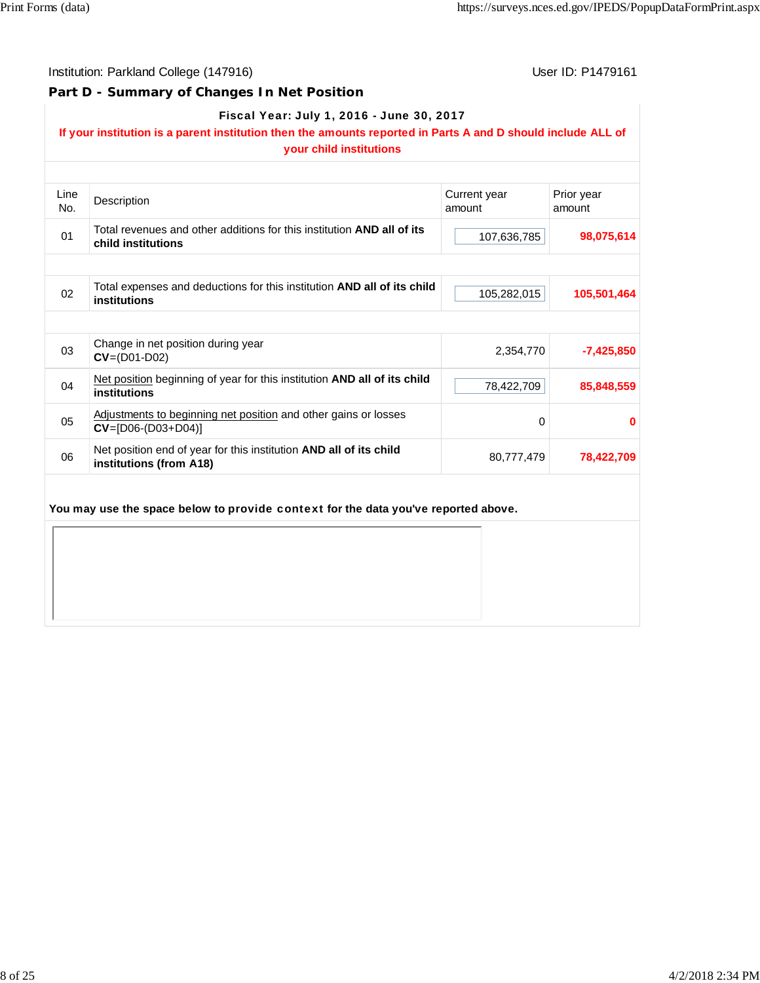#### **Part D - Summary of Changes In Net Position**

#### Fiscal Year: July 1, 2016 - June 30, 2017

# **If your institution is a parent institution then the amounts reported in Parts A and D should include ALL of**

|      | your child institutions                                                                       |              |              |
|------|-----------------------------------------------------------------------------------------------|--------------|--------------|
| Line | Description                                                                                   | Current year | Prior year   |
| No.  |                                                                                               | amount       | amount       |
| 01   | Total revenues and other additions for this institution AND all of its<br>child institutions  | 107,636,785  | 98,075,614   |
|      |                                                                                               |              |              |
| 02   | Total expenses and deductions for this institution AND all of its child<br>institutions       | 105,282,015  | 105,501,464  |
|      |                                                                                               |              |              |
| 03   | Change in net position during year<br>$CV = (D01-D02)$                                        | 2,354,770    | $-7,425,850$ |
| 04   | Net position beginning of year for this institution AND all of its child<br>institutions      | 78,422,709   | 85,848,559   |
| 05   | Adjustments to beginning net position and other gains or losses<br>$CV = [D06-(D03+D04)]$     | $\mathbf 0$  | 0            |
| 06   | Net position end of year for this institution AND all of its child<br>institutions (from A18) | 80,777,479   | 78,422,709   |
|      | You may use the space below to provide context for the data you've reported above.            |              |              |
|      |                                                                                               |              |              |
|      |                                                                                               |              |              |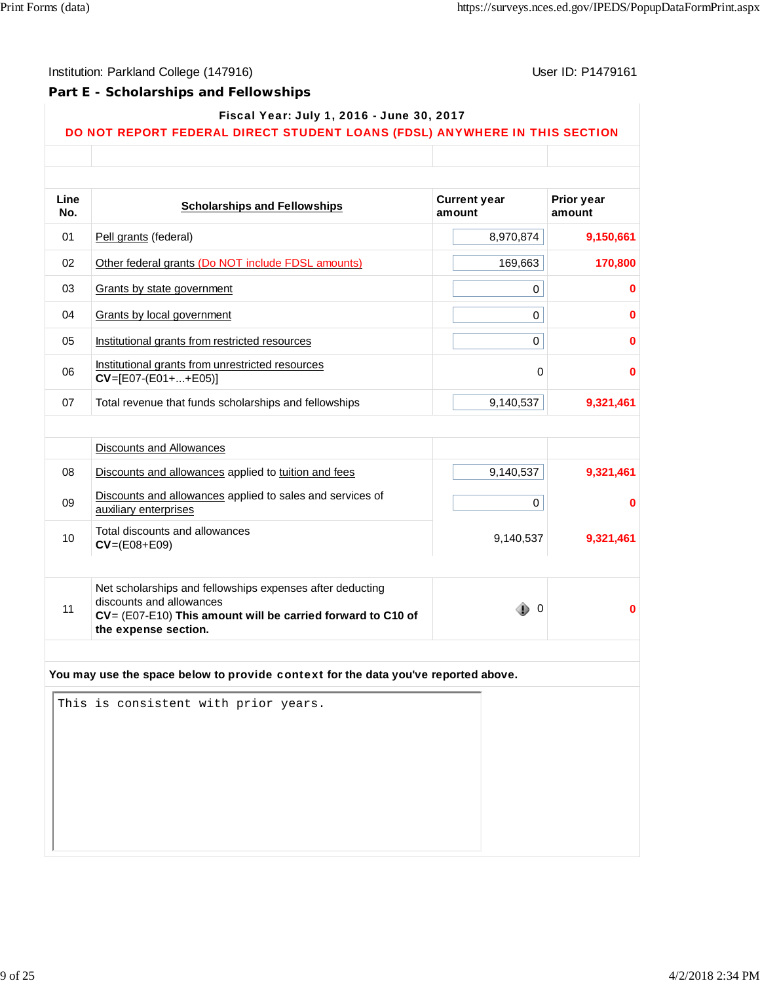## **Part E - Scholarships and Fellowships**

| Fiscal Year: July 1, 2016 - June 30, 2017 |  |
|-------------------------------------------|--|
|-------------------------------------------|--|

#### DO NOT REPORT FEDERAL DIRECT STUDENT LOANS (FDSL) ANYWHERE IN THIS SECTION

| Line |                                                                                       | <b>Current year</b>          | <b>Prior year</b> |
|------|---------------------------------------------------------------------------------------|------------------------------|-------------------|
| No.  | <b>Scholarships and Fellowships</b>                                                   | amount                       | amount            |
| 01   | Pell grants (federal)                                                                 | 8,970,874                    | 9,150,661         |
| 02   | Other federal grants (Do NOT include FDSL amounts)                                    | 169,663                      | 170,800           |
| 03   | Grants by state government                                                            | 0                            | 0                 |
| 04   | <b>Grants by local government</b>                                                     | $\mathbf 0$                  | $\bf{0}$          |
| 05   | Institutional grants from restricted resources                                        | 0                            | 0                 |
| 06   | Institutional grants from unrestricted resources<br>$CV=[E07-(E01++E05)]$             | 0                            | 0                 |
| 07   | Total revenue that funds scholarships and fellowships                                 | 9,140,537                    | 9,321,461         |
|      |                                                                                       |                              |                   |
|      | <b>Discounts and Allowances</b>                                                       |                              |                   |
| 08   | Discounts and allowances applied to tuition and fees                                  | 9,140,537                    | 9,321,461         |
| 09   | Discounts and allowances applied to sales and services of<br>auxiliary enterprises    | 0                            | 0                 |
| 10   | Total discounts and allowances<br>$CV=(E08+E09)$                                      | 9,140,537                    | 9,321,461         |
|      |                                                                                       |                              |                   |
|      | Net scholarships and fellowships expenses after deducting<br>discounts and allowances |                              |                   |
| 11   | CV= (E07-E10) This amount will be carried forward to C10 of<br>the expense section.   | $\overline{\mathbf{0}}$<br>₽ | 0                 |
|      |                                                                                       |                              |                   |
|      | You may use the space below to provide context for the data you've reported above.    |                              |                   |
|      | This is consistent with prior years.                                                  |                              |                   |
|      |                                                                                       |                              |                   |
|      |                                                                                       |                              |                   |
|      |                                                                                       |                              |                   |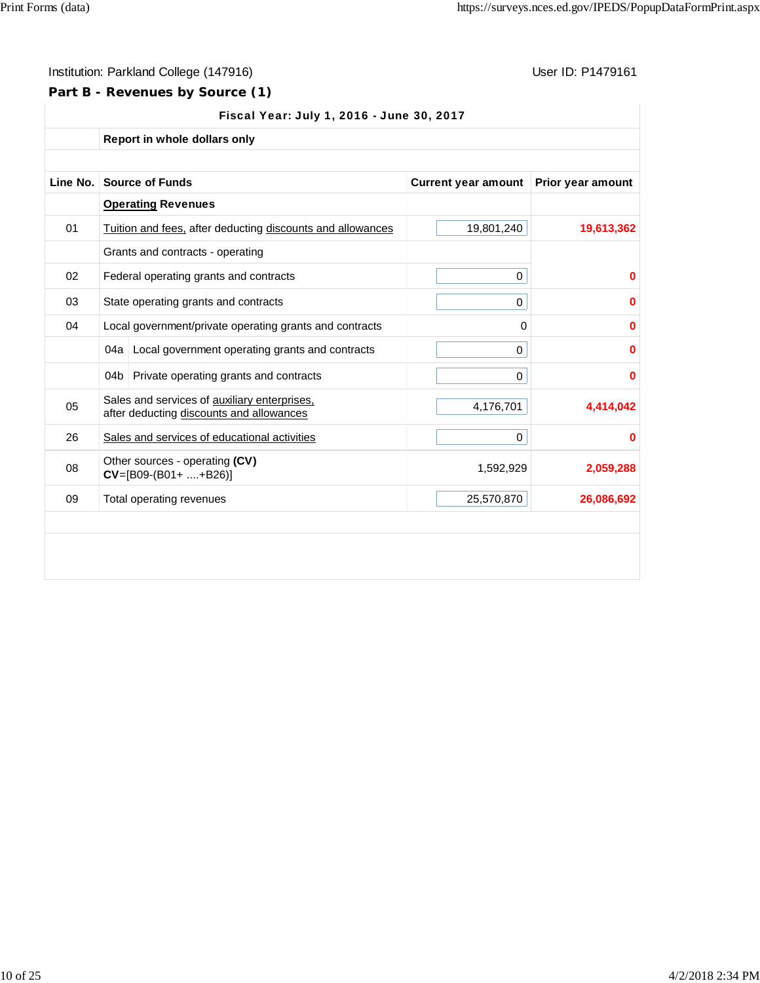# **Part B - Revenues by Source (1)**

| Fiscal Year: July 1, 2016 - June 30, 2017 |  |  |  |  |  |
|-------------------------------------------|--|--|--|--|--|
|-------------------------------------------|--|--|--|--|--|

**Report in whole dollars only**

| Line No. |       | <b>Source of Funds</b>                                                                   | <b>Current year amount</b> | <b>Prior year amount</b> |
|----------|-------|------------------------------------------------------------------------------------------|----------------------------|--------------------------|
|          |       | <b>Operating Revenues</b>                                                                |                            |                          |
| 01       |       | Tuition and fees, after deducting discounts and allowances                               | 19,801,240                 | 19,613,362               |
|          |       | Grants and contracts - operating                                                         |                            |                          |
| 02       |       | Federal operating grants and contracts                                                   | 0                          | 0                        |
| 03       |       | State operating grants and contracts                                                     | 0                          | 0                        |
| 04       |       | Local government/private operating grants and contracts                                  | 0                          | 0                        |
|          | 04a l | Local government operating grants and contracts                                          | 0                          | 0                        |
|          | 04b   | Private operating grants and contracts                                                   | 0                          | 0                        |
| 05       |       | Sales and services of auxiliary enterprises,<br>after deducting discounts and allowances | 4,176,701                  | 4.414.042                |
| 26       |       | Sales and services of educational activities                                             | 0                          | 0                        |
| 08       |       | Other sources - operating (CV)<br>$CV=[B09-(B01++B26)]$                                  | 1,592,929                  | 2,059,288                |
| 09       |       | Total operating revenues                                                                 | 25,570,870                 | 26,086,692               |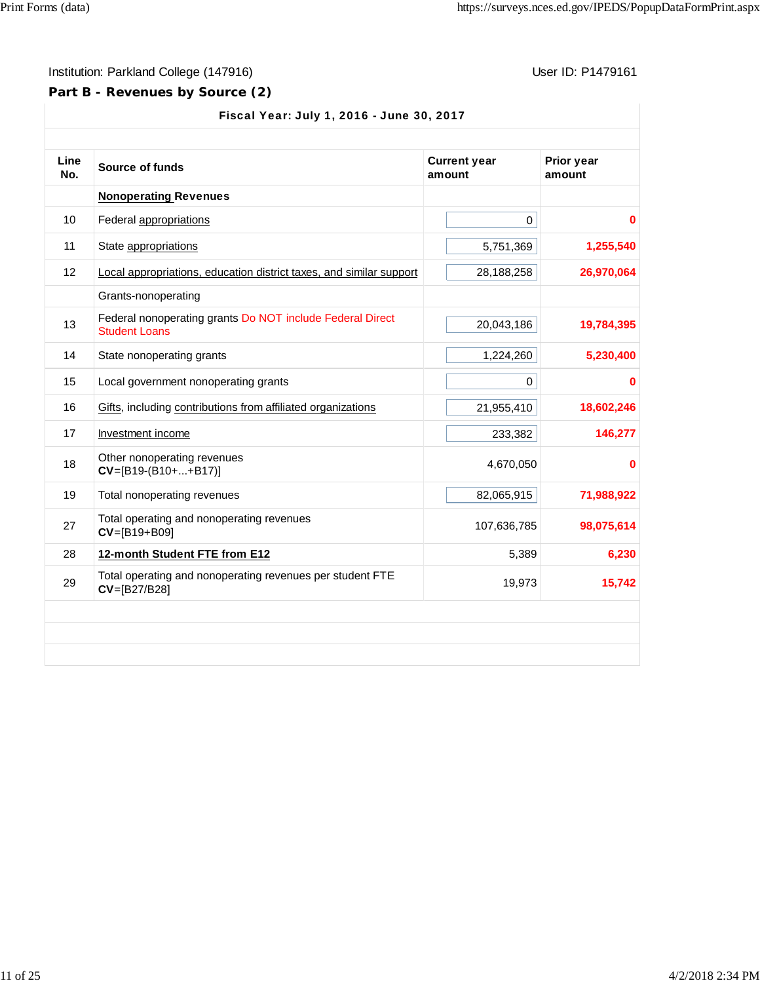# **Part B - Revenues by Source (2)**

| Fiscal Year: July 1, 2016 - June 30, 2017 |                                                                                   |                               |                      |  |
|-------------------------------------------|-----------------------------------------------------------------------------------|-------------------------------|----------------------|--|
| Line<br>No.                               | <b>Source of funds</b>                                                            | <b>Current year</b><br>amount | Prior year<br>amount |  |
|                                           | <b>Nonoperating Revenues</b>                                                      |                               |                      |  |
| 10                                        | Federal appropriations                                                            | $\mathbf 0$                   | 0                    |  |
| 11                                        | State appropriations                                                              | 5,751,369                     | 1,255,540            |  |
| 12                                        | Local appropriations, education district taxes, and similar support               | 28,188,258                    | 26,970,064           |  |
|                                           | Grants-nonoperating                                                               |                               |                      |  |
| 13                                        | Federal nonoperating grants Do NOT include Federal Direct<br><b>Student Loans</b> | 20,043,186                    | 19,784,395           |  |
| 14                                        | State nonoperating grants                                                         | 1,224,260                     | 5,230,400            |  |
| 15                                        | Local government nonoperating grants                                              | $\mathbf 0$                   | 0                    |  |
| 16                                        | Gifts, including contributions from affiliated organizations                      | 21,955,410                    | 18,602,246           |  |
| 17                                        | Investment income                                                                 | 233,382                       | 146,277              |  |
| 18                                        | Other nonoperating revenues<br>$CV=[B19-(B10++B17)]$                              | 4,670,050                     | 0                    |  |
| 19                                        | Total nonoperating revenues                                                       | 82,065,915                    | 71,988,922           |  |
| 27                                        | Total operating and nonoperating revenues<br>$CV=[B19+B09]$                       | 107,636,785                   | 98,075,614           |  |
| 28                                        | 12-month Student FTE from E12                                                     | 5,389                         | 6,230                |  |
| 29                                        | Total operating and nonoperating revenues per student FTE<br>CV=[B27/B28]         | 19,973                        | 15,742               |  |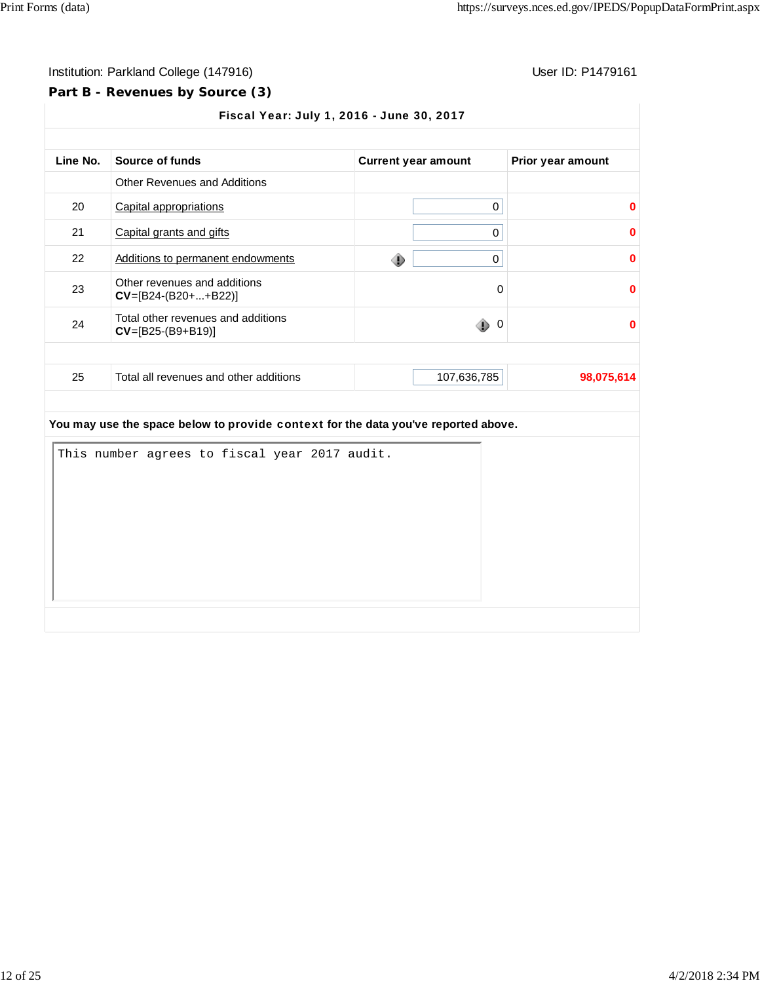# **Part B - Revenues by Source (3)**

|    | Source of funds                                           | <b>Current year amount</b> | Prior year amount |
|----|-----------------------------------------------------------|----------------------------|-------------------|
|    | <b>Other Revenues and Additions</b>                       |                            |                   |
| 20 | Capital appropriations                                    | 0                          | ŋ                 |
| 21 | Capital grants and gifts                                  | 0                          | ŋ                 |
| 22 | Additions to permanent endowments                         | 0<br>⊕                     | 0                 |
| 23 | Other revenues and additions<br>$CV=[B24-(B20++B22)]$     | 0                          | 0                 |
| 24 | Total other revenues and additions<br>$CV=[B25-(B9+B19)]$ | ۰<br>$\overline{0}$        | $\bf{0}$          |
| 25 |                                                           | 107,636,785                | 98,075,614        |

|  | This number agrees to fiscal year 2017 audit. |  |  |  |  |
|--|-----------------------------------------------|--|--|--|--|
|  |                                               |  |  |  |  |
|  |                                               |  |  |  |  |
|  |                                               |  |  |  |  |
|  |                                               |  |  |  |  |
|  |                                               |  |  |  |  |
|  |                                               |  |  |  |  |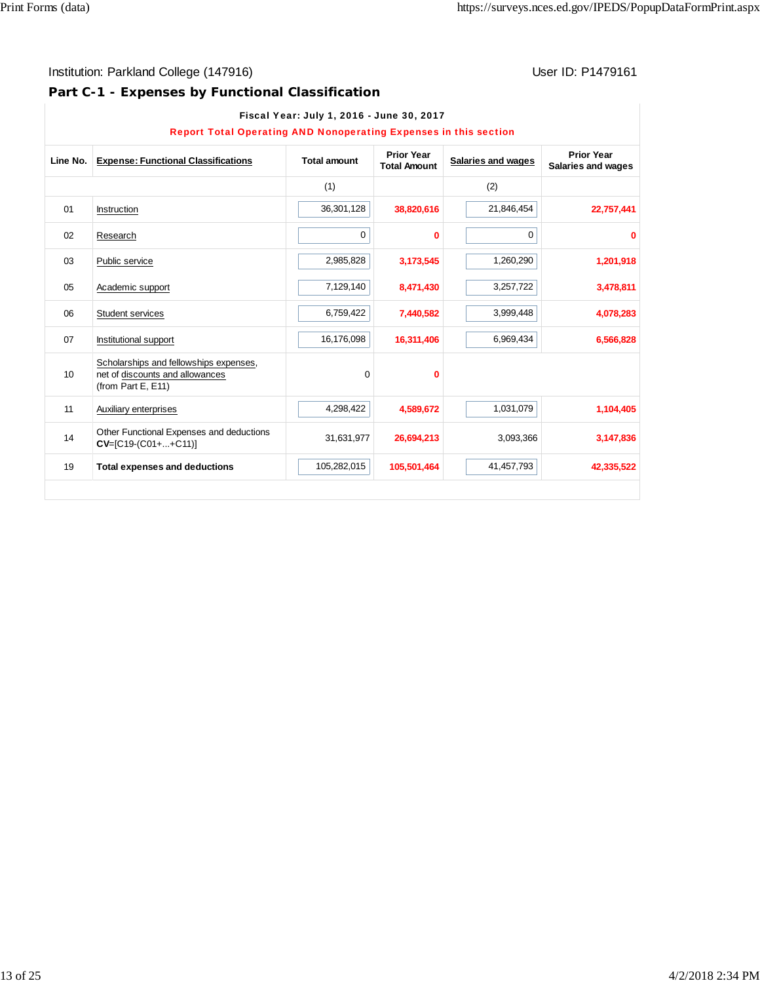# **Part C-1 - Expenses by Functional Classification**

|          | <b>Report Total Operating AND Nonoperating Expenses in this section</b>                         |                     |                                          |                    |                                         |
|----------|-------------------------------------------------------------------------------------------------|---------------------|------------------------------------------|--------------------|-----------------------------------------|
| Line No. | <b>Expense: Functional Classifications</b>                                                      | <b>Total amount</b> | <b>Prior Year</b><br><b>Total Amount</b> | Salaries and wages | <b>Prior Year</b><br>Salaries and wages |
|          |                                                                                                 | (1)                 |                                          | (2)                |                                         |
| 01       | Instruction                                                                                     | 36,301,128          | 38,820,616                               | 21,846,454         | 22,757,441                              |
| 02       | Research                                                                                        | 0                   | $\bf{0}$                                 | 0                  | $\bf{0}$                                |
| 03       | Public service                                                                                  | 2,985,828           | 3,173,545                                | 1,260,290          | 1,201,918                               |
| 05       | Academic support                                                                                | 7,129,140           | 8,471,430                                | 3,257,722          | 3,478,811                               |
| 06       | Student services                                                                                | 6,759,422           | 7,440,582                                | 3,999,448          | 4,078,283                               |
| 07       | Institutional support                                                                           | 16,176,098          | 16,311,406                               | 6,969,434          | 6,566,828                               |
| 10       | Scholarships and fellowships expenses,<br>net of discounts and allowances<br>(from Part E, E11) | 0                   | 0                                        |                    |                                         |
| 11       | Auxiliary enterprises                                                                           | 4,298,422           | 4,589,672                                | 1,031,079          | 1,104,405                               |
| 14       | Other Functional Expenses and deductions<br>$CV=[C19-(C01++C11)]$                               | 31,631,977          | 26,694,213                               | 3,093,366          | 3,147,836                               |
| 19       | <b>Total expenses and deductions</b>                                                            | 105,282,015         | 105,501,464                              | 41,457,793         | 42,335,522                              |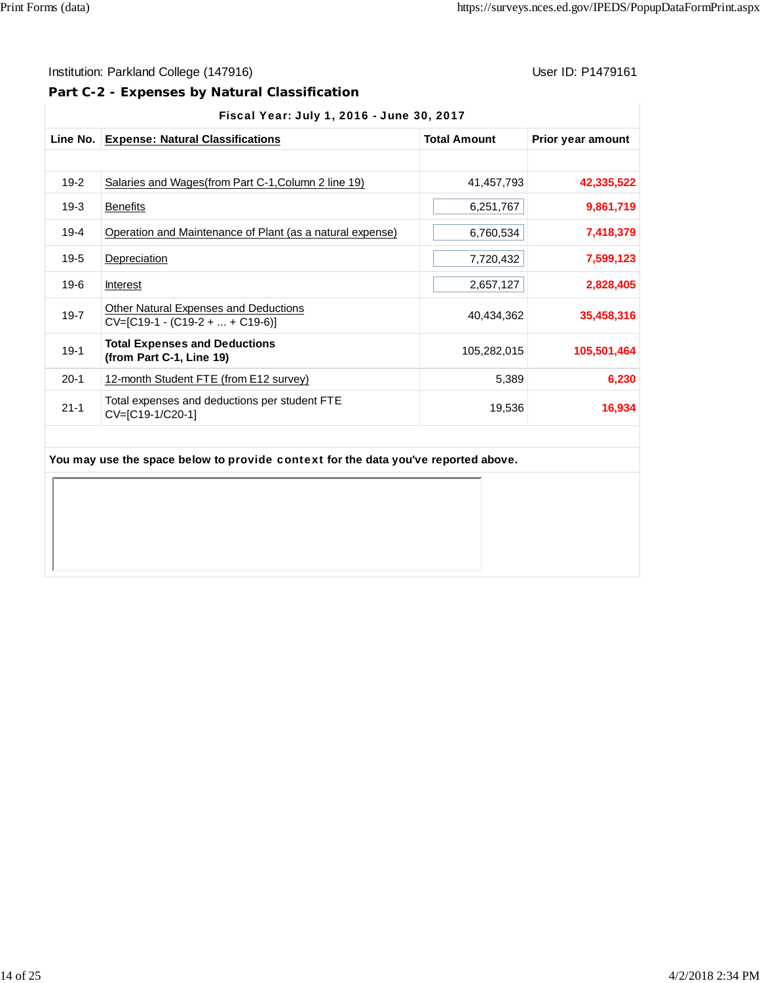$\mathbb T$ 

# Institution: Parkland College (147916) **User ID: P1479161** User ID: P1479161

**Part C-2 - Expenses by Natural Classification**

21-1 Total expenses and deductions per student FTE

| Fiscal Year: July 1, 2016 - June 30, 2017 |                                                                      |                     |                   |  |  |  |
|-------------------------------------------|----------------------------------------------------------------------|---------------------|-------------------|--|--|--|
| Line No.                                  | <b>Expense: Natural Classifications</b>                              | <b>Total Amount</b> | Prior year amount |  |  |  |
| $19-2$                                    | Salaries and Wages (from Part C-1, Column 2 line 19)                 | 41,457,793          | 42,335,522        |  |  |  |
| 19-3                                      | <b>Benefits</b>                                                      | 6,251,767           | 9,861,719         |  |  |  |
| $19 - 4$                                  | Operation and Maintenance of Plant (as a natural expense)            | 6,760,534           | 7,418,379         |  |  |  |
| $19-5$                                    | Depreciation                                                         | 7,720,432           | 7,599,123         |  |  |  |
| $19-6$                                    | Interest                                                             | 2,657,127           | 2,828,405         |  |  |  |
| $19 - 7$                                  | Other Natural Expenses and Deductions<br>$CV=[C19-1-(C19-2++C19-6)]$ | 40,434,362          | 35,458,316        |  |  |  |
| $19-1$                                    | <b>Total Expenses and Deductions</b><br>(from Part C-1, Line 19)     | 105,282,015         | 105,501,464       |  |  |  |
| $20-1$                                    | 12-month Student FTE (from E12 survey)                               | 5,389               | 6,230             |  |  |  |

Total expenses and deductions per student PTE<br>CV=[C19-1/C20-1] 19,536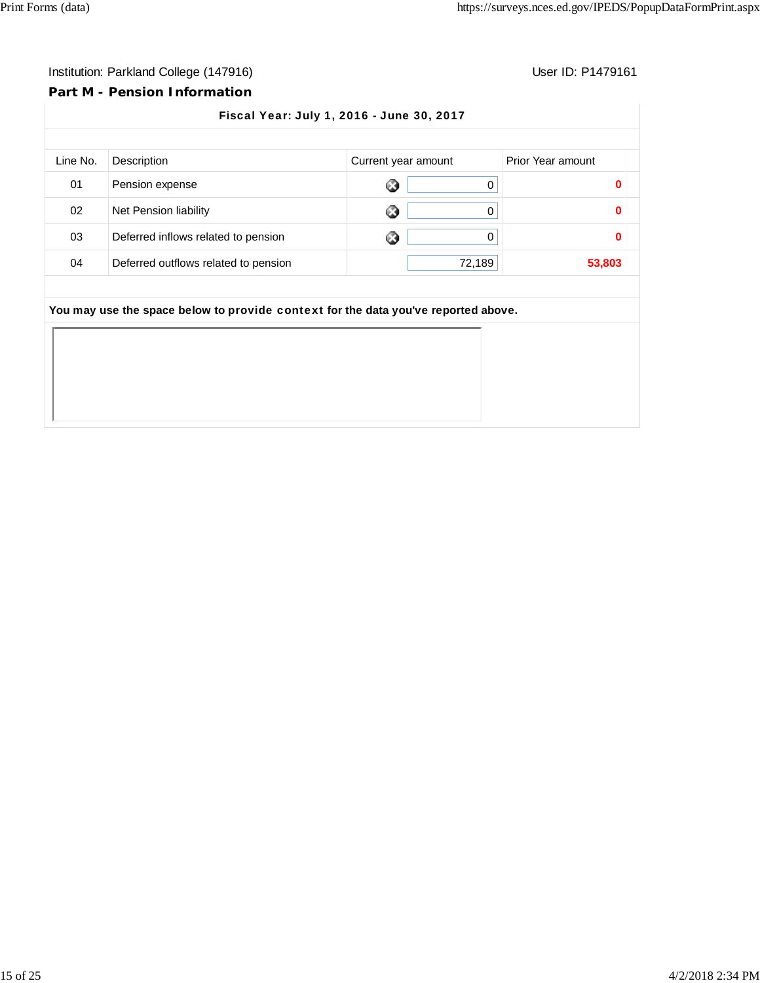# **Part M - Pension Information**

| Description                          |   |        | Prior Year amount                                                                                         |
|--------------------------------------|---|--------|-----------------------------------------------------------------------------------------------------------|
| Pension expense                      | 0 | 0      | 0                                                                                                         |
| Net Pension liability                | 0 | 0      | O                                                                                                         |
| Deferred inflows related to pension  | 0 | 0      | O                                                                                                         |
| Deferred outflows related to pension |   | 72,189 | 53,803                                                                                                    |
|                                      |   |        |                                                                                                           |
|                                      |   |        |                                                                                                           |
|                                      |   |        |                                                                                                           |
|                                      |   |        |                                                                                                           |
|                                      |   |        |                                                                                                           |
|                                      |   |        |                                                                                                           |
|                                      |   |        | Current year amount<br>You may use the space below to provide context for the data you've reported above. |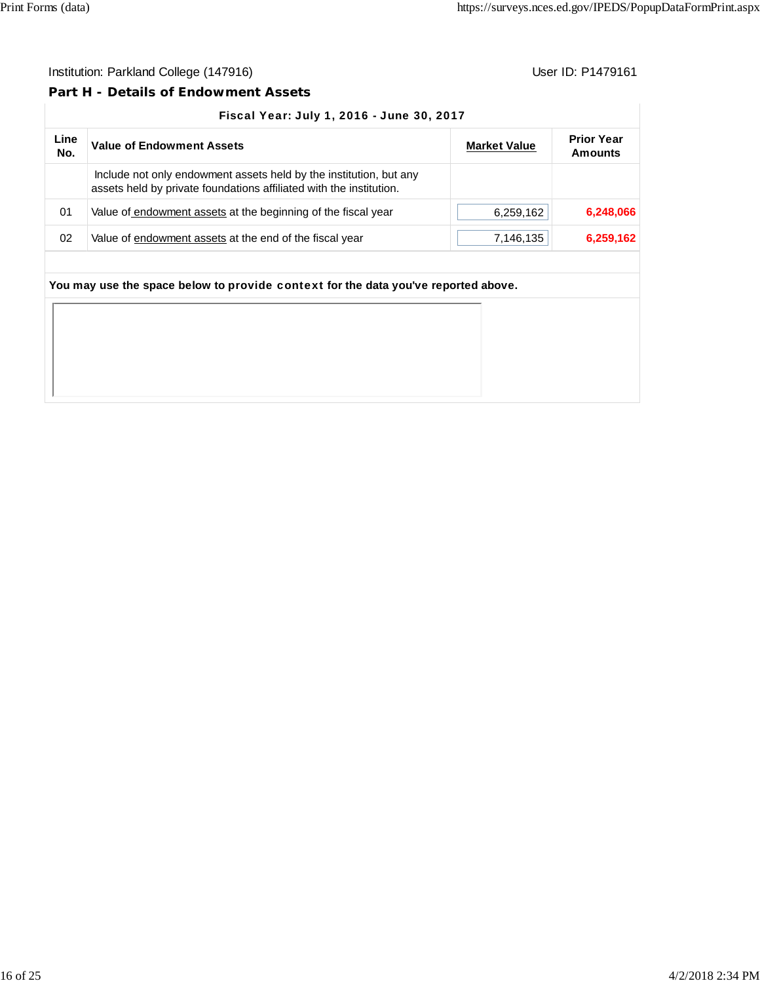#### **Part H - Details of Endowment Assets**

#### Fiscal Year: July 1, 2016 - June 30, 2017

| Line<br>No. | <b>Value of Endowment Assets</b>                                                                                                          | <b>Market Value</b> | <b>Prior Year</b><br><b>Amounts</b> |
|-------------|-------------------------------------------------------------------------------------------------------------------------------------------|---------------------|-------------------------------------|
|             | Include not only endowment assets held by the institution, but any<br>assets held by private foundations affiliated with the institution. |                     |                                     |
| 01          | Value of endowment assets at the beginning of the fiscal year                                                                             | 6,259,162           | 6,248,066                           |
| 02          | Value of endowment assets at the end of the fiscal year                                                                                   | 7,146,135           | 6,259,162                           |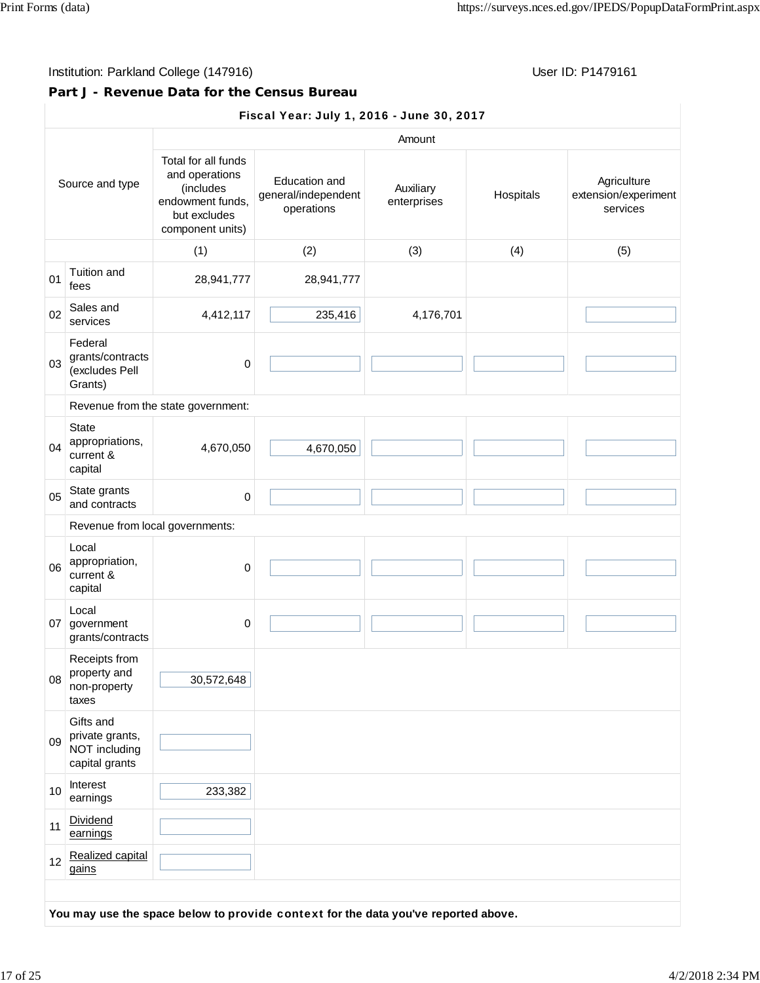## Institution: Parkland College (147916) **Institution: Parkland College (147916**)

### **Part J - Revenue Data for the Census Bureau**

#### Fiscal Year: July 1, 2016 - June 30, 2017

| Source and type |                                                                 | Amount                                                                                                     |                                                    |                          |           |                                                 |  |  |
|-----------------|-----------------------------------------------------------------|------------------------------------------------------------------------------------------------------------|----------------------------------------------------|--------------------------|-----------|-------------------------------------------------|--|--|
|                 |                                                                 | Total for all funds<br>and operations<br>(includes<br>endowment funds,<br>but excludes<br>component units) | Education and<br>general/independent<br>operations | Auxiliary<br>enterprises | Hospitals | Agriculture<br>extension/experiment<br>services |  |  |
|                 |                                                                 | (1)                                                                                                        | (2)                                                | (3)                      | (4)       | (5)                                             |  |  |
| 01              | Tuition and<br>fees                                             | 28,941,777                                                                                                 | 28,941,777                                         |                          |           |                                                 |  |  |
| 02              | Sales and<br>services                                           | 4,412,117                                                                                                  | 235,416                                            | 4,176,701                |           |                                                 |  |  |
| 03              | Federal<br>grants/contracts<br>(excludes Pell<br>Grants)        | 0                                                                                                          |                                                    |                          |           |                                                 |  |  |
|                 |                                                                 | Revenue from the state government:                                                                         |                                                    |                          |           |                                                 |  |  |
| 04              | State<br>appropriations,<br>current &<br>capital                | 4,670,050                                                                                                  | 4,670,050                                          |                          |           |                                                 |  |  |
| 05              | State grants<br>and contracts                                   | 0                                                                                                          |                                                    |                          |           |                                                 |  |  |
|                 | Revenue from local governments:                                 |                                                                                                            |                                                    |                          |           |                                                 |  |  |
| 06              | Local<br>appropriation,<br>current &<br>capital                 | $\pmb{0}$                                                                                                  |                                                    |                          |           |                                                 |  |  |
|                 | Local<br>07 government<br>grants/contracts                      | $\mathbf 0$                                                                                                |                                                    |                          |           |                                                 |  |  |
| 08              | Receipts from<br>property and<br>non-property<br>taxes          | 30,572,648                                                                                                 |                                                    |                          |           |                                                 |  |  |
| 09              | Gifts and<br>private grants,<br>NOT including<br>capital grants |                                                                                                            |                                                    |                          |           |                                                 |  |  |
| 10              | Interest<br>earnings                                            | 233,382                                                                                                    |                                                    |                          |           |                                                 |  |  |
| 11              | Dividend<br>earnings                                            |                                                                                                            |                                                    |                          |           |                                                 |  |  |
| 12              | Realized capital<br>gains                                       |                                                                                                            |                                                    |                          |           |                                                 |  |  |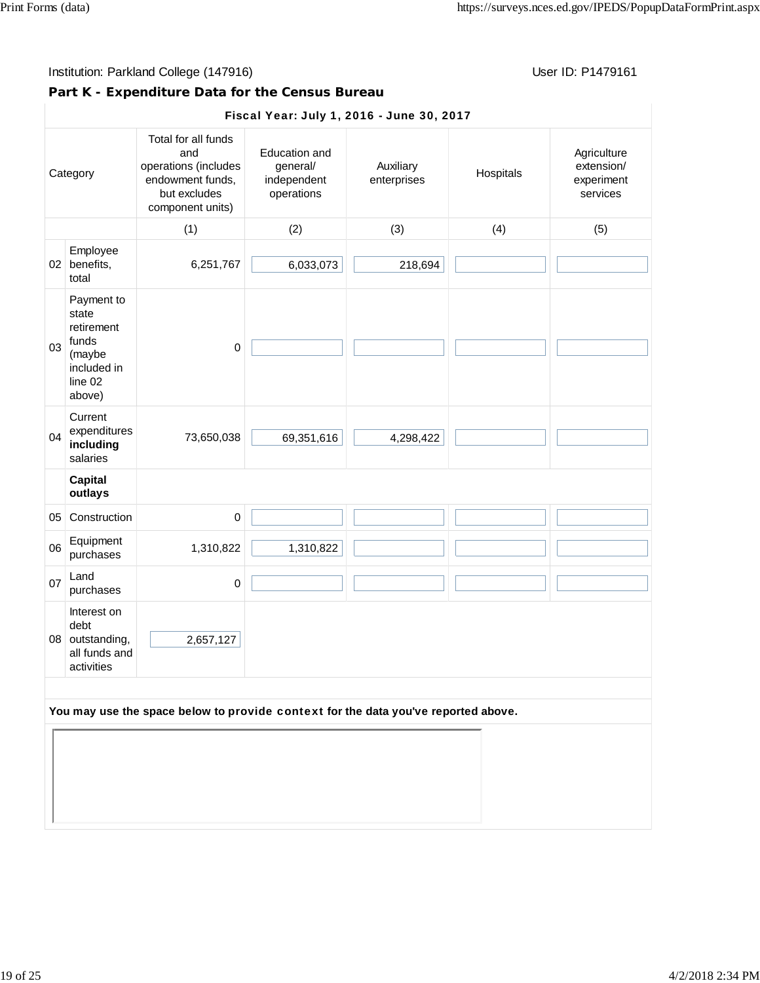# **Part K - Expenditure Data for the Census Bureau**

|    | Fiscal Year: July 1, 2016 - June 30, 2017                                                |                                                                                                            |                                                               |                          |           |                                                     |  |  |
|----|------------------------------------------------------------------------------------------|------------------------------------------------------------------------------------------------------------|---------------------------------------------------------------|--------------------------|-----------|-----------------------------------------------------|--|--|
|    | Category                                                                                 | Total for all funds<br>and<br>operations (includes<br>endowment funds,<br>but excludes<br>component units) | <b>Education and</b><br>general/<br>independent<br>operations | Auxiliary<br>enterprises | Hospitals | Agriculture<br>extension/<br>experiment<br>services |  |  |
|    |                                                                                          | (1)                                                                                                        | (2)                                                           | (3)                      | (4)       | (5)                                                 |  |  |
| 02 | Employee<br>benefits,<br>total                                                           | 6,251,767                                                                                                  | 6,033,073                                                     | 218,694                  |           |                                                     |  |  |
| 03 | Payment to<br>state<br>retirement<br>funds<br>(maybe<br>included in<br>line 02<br>above) | $\pmb{0}$                                                                                                  |                                                               |                          |           |                                                     |  |  |
| 04 | Current<br>expenditures<br>including<br>salaries                                         | 73,650,038                                                                                                 | 69,351,616                                                    | 4,298,422                |           |                                                     |  |  |
|    | <b>Capital</b><br>outlays                                                                |                                                                                                            |                                                               |                          |           |                                                     |  |  |
| 05 | Construction                                                                             | $\pmb{0}$                                                                                                  |                                                               |                          |           |                                                     |  |  |
| 06 | Equipment<br>purchases                                                                   | 1,310,822                                                                                                  | 1,310,822                                                     |                          |           |                                                     |  |  |
| 07 | Land<br>purchases                                                                        | $\pmb{0}$                                                                                                  |                                                               |                          |           |                                                     |  |  |
|    | Interest on<br>debt<br>08 outstanding,<br>all funds and<br>activities                    | 2,657,127                                                                                                  |                                                               |                          |           |                                                     |  |  |
|    | You may use the space below to provide context for the data you've reported above.       |                                                                                                            |                                                               |                          |           |                                                     |  |  |
|    |                                                                                          |                                                                                                            |                                                               |                          |           |                                                     |  |  |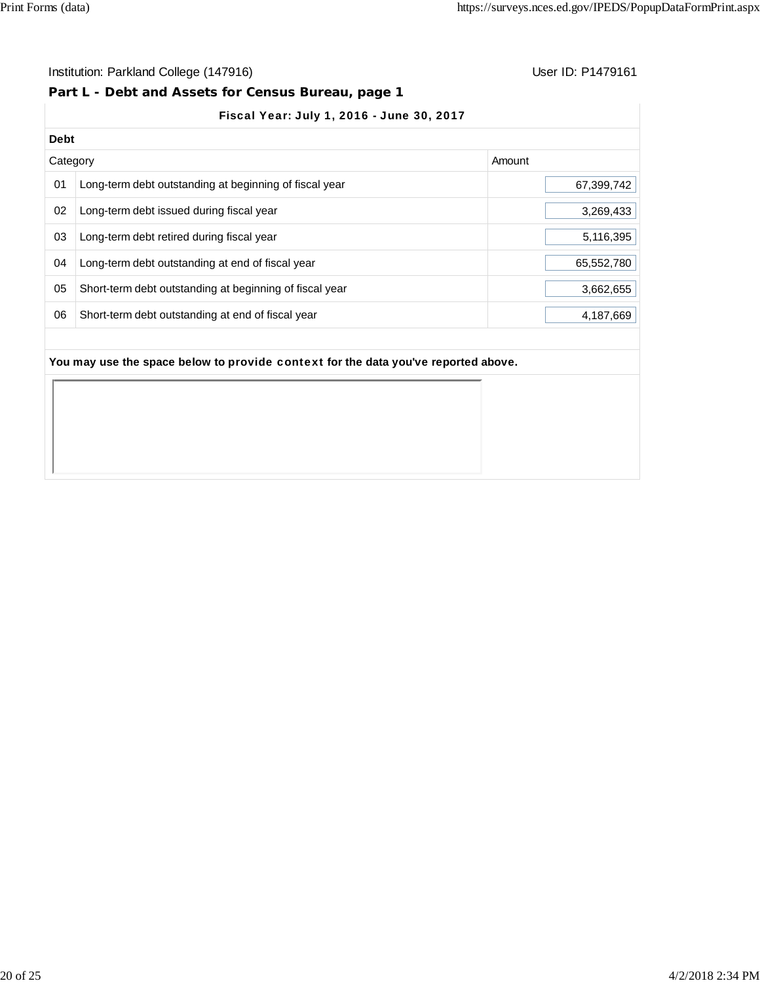#### Institution: Parkland College (147916) **Institution: Parkland College (147916**)

#### **Part L - Debt and Assets for Census Bureau, page 1**

## Fiscal Year: July 1, 2016 - June 30, 2017

|          | <b>Debt</b>                                             |            |  |  |  |  |
|----------|---------------------------------------------------------|------------|--|--|--|--|
| Category |                                                         | Amount     |  |  |  |  |
| 01       | Long-term debt outstanding at beginning of fiscal year  | 67,399,742 |  |  |  |  |
| 02       | Long-term debt issued during fiscal year                | 3,269,433  |  |  |  |  |
| 03       | Long-term debt retired during fiscal year               | 5,116,395  |  |  |  |  |
| 04       | Long-term debt outstanding at end of fiscal year        | 65,552,780 |  |  |  |  |
| 05       | Short-term debt outstanding at beginning of fiscal year | 3,662,655  |  |  |  |  |
| 06       | Short-term debt outstanding at end of fiscal year       | 4,187,669  |  |  |  |  |
|          |                                                         |            |  |  |  |  |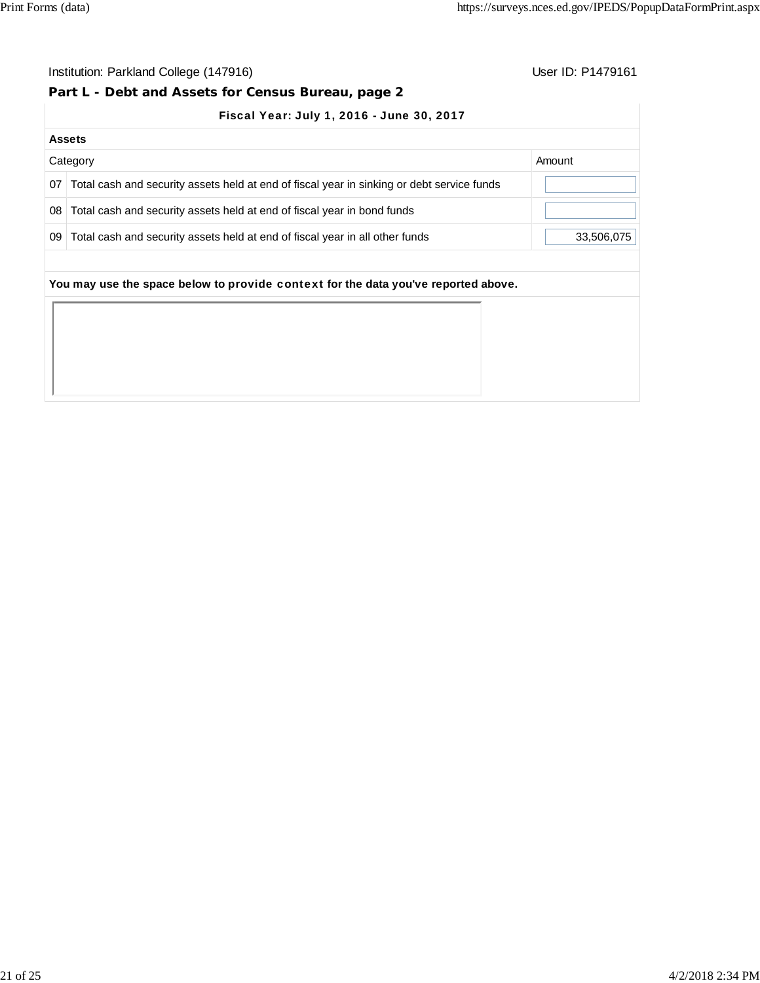# **Part L - Debt and Assets for Census Bureau, page 2**

|  |  | Fiscal Year: July 1, 2016 - June 30, 2017 |
|--|--|-------------------------------------------|
|  |  |                                           |

|    | <b>Assets</b>                                                                              |            |  |  |  |  |  |
|----|--------------------------------------------------------------------------------------------|------------|--|--|--|--|--|
|    | Category                                                                                   | Amount     |  |  |  |  |  |
| 07 | Total cash and security assets held at end of fiscal year in sinking or debt service funds |            |  |  |  |  |  |
| 08 | Total cash and security assets held at end of fiscal year in bond funds                    |            |  |  |  |  |  |
| 09 | Total cash and security assets held at end of fiscal year in all other funds               | 33,506,075 |  |  |  |  |  |
|    | You may use the space below to provide context for the data you've reported above.         |            |  |  |  |  |  |
|    |                                                                                            |            |  |  |  |  |  |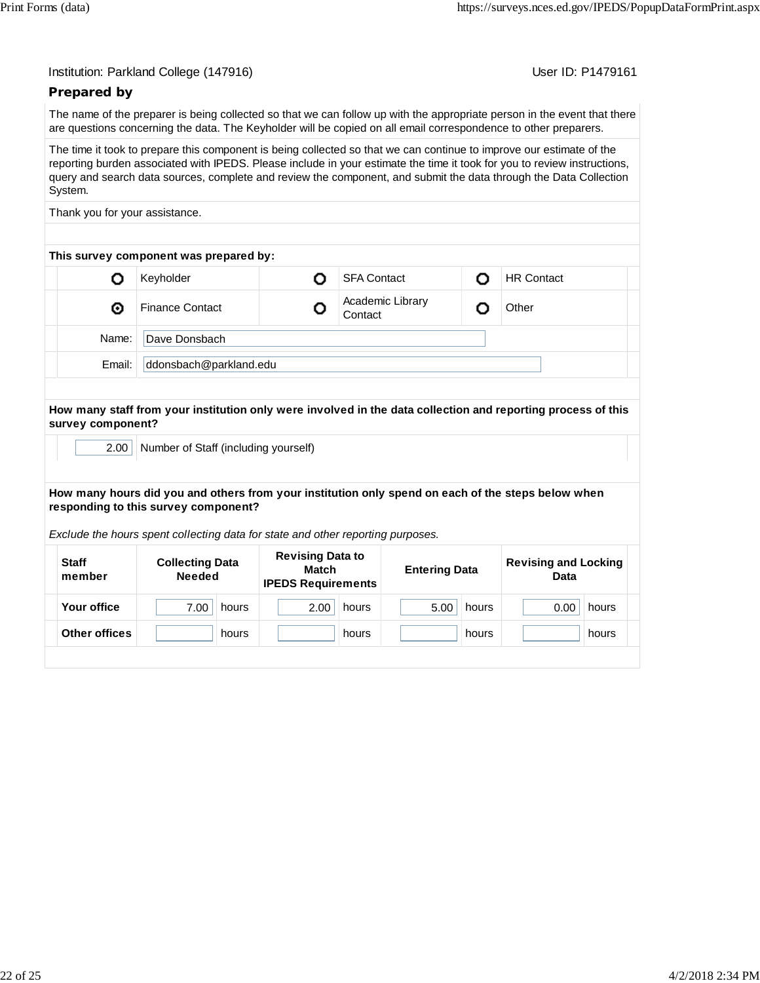User ID: P1479161

## **Prepared by**

The name of the preparer is being collected so that we can follow up with the appropriate person in the event that there are questions concerning the data. The Keyholder will be copied on all email correspondence to other preparers.

The time it took to prepare this component is being collected so that we can continue to improve our estimate of the reporting burden associated with IPEDS. Please include in your estimate the time it took for you to review instructions, query and search data sources, complete and review the component, and submit the data through the Data Collection System.

Thank you for your assistance.

| This survey component was prepared by: |        |                        |  |                             |  |                   |  |
|----------------------------------------|--------|------------------------|--|-----------------------------|--|-------------------|--|
|                                        |        | Keyholder              |  | <b>SFA Contact</b>          |  | <b>HR Contact</b> |  |
|                                        | ⊙      | <b>Finance Contact</b> |  | Academic Library<br>Contact |  | Other             |  |
|                                        | Name:  | Dave Donsbach          |  |                             |  |                   |  |
|                                        | Email: | ddonsbach@parkland.edu |  |                             |  |                   |  |
|                                        |        |                        |  |                             |  |                   |  |

#### **How many staff from your institution only were involved in the data collection and reporting process of this survey component?**

2.00 Number of Staff (including yourself)

#### **How many hours did you and others from your institution only spend on each of the steps below when responding to this survey component?**

*Exclude the hours spent collecting data for state and other reporting purposes.*

| <b>Staff</b><br>member | <b>Collecting Data</b><br><b>Needed</b> | <b>Revising Data to</b><br>Match<br><b>IPEDS Requirements</b> | <b>Entering Data</b> | <b>Revising and Locking</b><br>Data |  |
|------------------------|-----------------------------------------|---------------------------------------------------------------|----------------------|-------------------------------------|--|
| Your office            | 7.00<br>hours                           | 2.00<br>hours                                                 | 5.00<br>hours        | 0.00<br>hours                       |  |
| Other offices          | hours                                   | hours                                                         | hours                | hours                               |  |
|                        |                                         |                                                               |                      |                                     |  |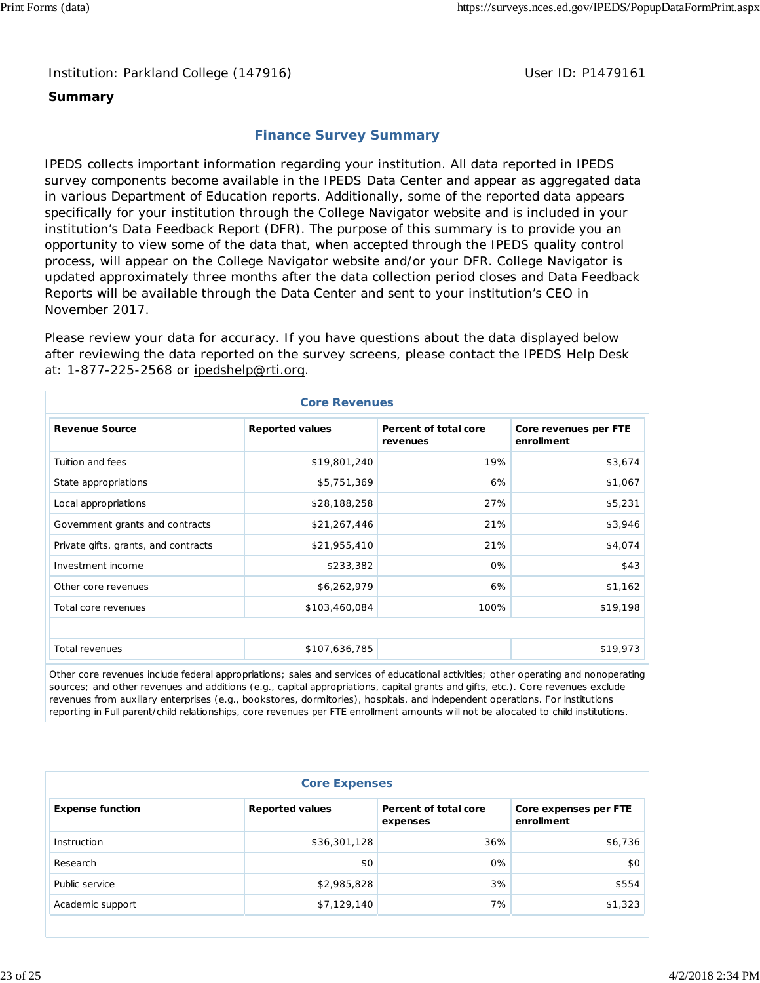Institution: Parkland College (147916) **Department College (1479161** User ID: P1479161

#### **Summary**

## **Finance Survey Summary**

IPEDS collects important information regarding your institution. All data reported in IPEDS survey components become available in the IPEDS Data Center and appear as aggregated data in various Department of Education reports. Additionally, some of the reported data appears specifically for your institution through the College Navigator website and is included in your institution's Data Feedback Report (DFR). The purpose of this summary is to provide you an opportunity to view some of the data that, when accepted through the IPEDS quality control process, will appear on the College Navigator website and/or your DFR. College Navigator is updated approximately three months after the data collection period closes and Data Feedback Reports will be available through the **Data Center and sent to your institution's CEO** in November 2017.

Please review your data for accuracy. If you have questions about the data displayed below after reviewing the data reported on the survey screens, please contact the IPEDS Help Desk at: 1-877-225-2568 or ipedshelp@rti.org.

| <b>Core Revenues</b>                 |                        |                                   |                                     |  |  |  |
|--------------------------------------|------------------------|-----------------------------------|-------------------------------------|--|--|--|
| <b>Revenue Source</b>                | <b>Reported values</b> | Percent of total core<br>revenues | Core revenues per FTE<br>enrollment |  |  |  |
| Tuition and fees                     | \$19,801,240           | 19%                               | \$3,674                             |  |  |  |
| State appropriations                 | \$5,751,369            | 6%                                | \$1,067                             |  |  |  |
| Local appropriations                 | \$28,188,258           | 27%                               | \$5,231                             |  |  |  |
| Government grants and contracts      | \$21,267,446           | 21%                               | \$3,946                             |  |  |  |
| Private gifts, grants, and contracts | \$21,955,410           | 21%                               | \$4,074                             |  |  |  |
| Investment income                    | \$233,382              | 0%                                | \$43                                |  |  |  |
| Other core revenues                  | \$6,262,979            | 6%                                | \$1,162                             |  |  |  |
| Total core revenues                  | \$103,460,084          | 100%                              | \$19,198                            |  |  |  |
|                                      |                        |                                   |                                     |  |  |  |
| Total revenues                       | \$107,636,785          |                                   | \$19,973                            |  |  |  |

Other core revenues include federal appropriations; sales and services of educational activities; other operating and nonoperating sources; and other revenues and additions (e.g., capital appropriations, capital grants and gifts, etc.). Core revenues exclude revenues from auxiliary enterprises (e.g., bookstores, dormitories), hospitals, and independent operations. For institutions reporting in Full parent/child relationships, core revenues per FTE enrollment amounts will not be allocated to child institutions.

| <b>Core Expenses</b>    |                        |                                   |                                     |  |  |
|-------------------------|------------------------|-----------------------------------|-------------------------------------|--|--|
| <b>Expense function</b> | <b>Reported values</b> | Percent of total core<br>expenses | Core expenses per FTE<br>enrollment |  |  |
| Instruction             | \$36,301,128           | 36%                               | \$6,736                             |  |  |
| Research                | \$0                    | 0%                                | \$0                                 |  |  |
| Public service          | \$2,985,828            | 3%                                | \$554                               |  |  |
| Academic support        | \$7,129,140            | 7%                                | \$1,323                             |  |  |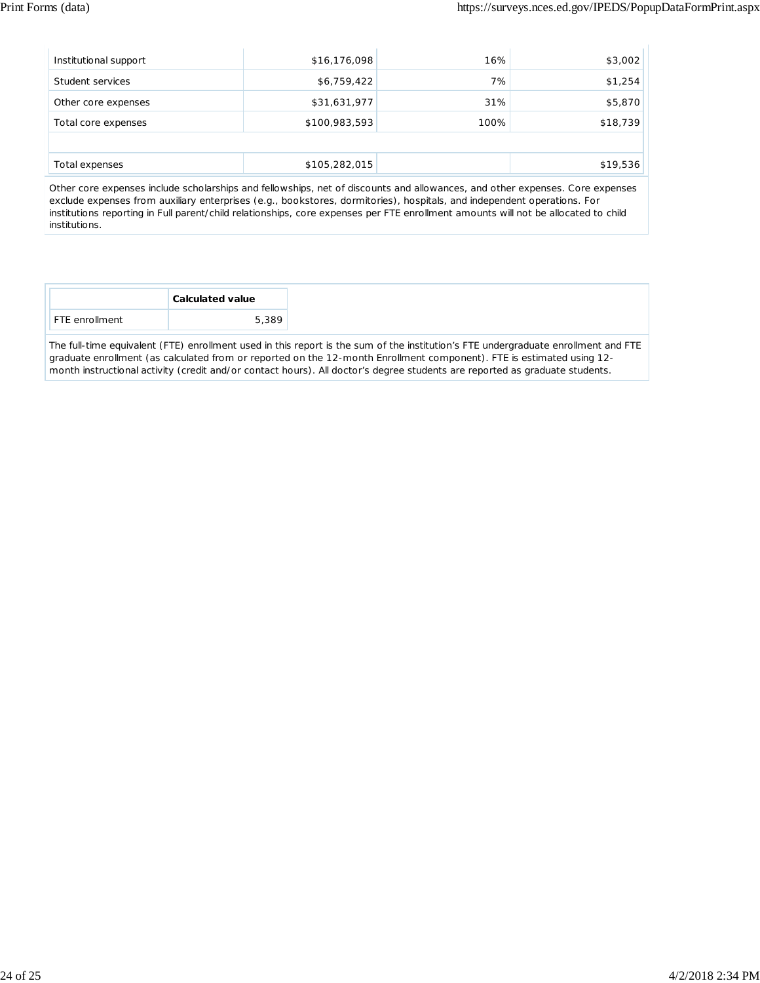| Institutional support | \$16,176,098  | 16%  | \$3,002  |
|-----------------------|---------------|------|----------|
| Student services      | \$6,759,422   | 7%   | \$1,254  |
| Other core expenses   | \$31,631,977  | 31%  | \$5,870  |
| Total core expenses   | \$100,983,593 | 100% | \$18,739 |
|                       |               |      |          |
| Total expenses        | \$105,282,015 |      | \$19,536 |

Other core expenses include scholarships and fellowships, net of discounts and allowances, and other expenses. Core expenses exclude expenses from auxiliary enterprises (e.g., bookstores, dormitories), hospitals, and independent operations. For institutions reporting in Full parent/child relationships, core expenses per FTE enrollment amounts will not be allocated to child institutions.

The full-time equivalent (FTE) enrollment used in this report is the sum of the institution's FTE undergraduate enrollment and FTE graduate enrollment (as calculated from or reported on the 12-month Enrollment component). FTE is estimated using 12 month instructional activity (credit and/or contact hours). All doctor's degree students are reported as graduate students.